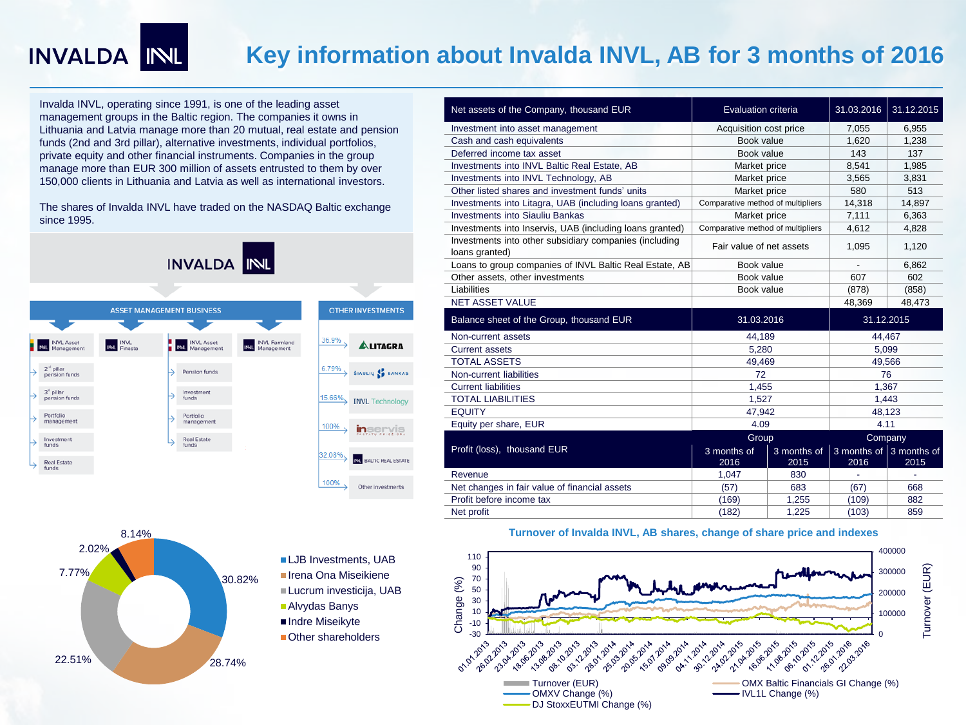# INVALDA INL

## **Key information about Invalda INVL, AB for 3 months of 2016**

Invalda INVL, operating since 1991, is one of the leading asset management groups in the Baltic region. The companies it owns in Lithuania and Latvia manage more than 20 mutual, real estate and pension funds (2nd and 3rd pillar), alternative investments, individual portfolios, private equity and other financial instruments. Companies in the group manage more than EUR 300 million of assets entrusted to them by over 150,000 clients in Lithuania and Latvia as well as international investors.

The shares of Invalda INVL have traded on the NASDAQ Baltic exchange since 1995.



| Net assets of the Company, thousand EUR                                  | Evaluation criteria               |                     | 31.03.2016                              | 31.12.2015 |
|--------------------------------------------------------------------------|-----------------------------------|---------------------|-----------------------------------------|------------|
| Investment into asset management                                         | Acquisition cost price            |                     | 7,055                                   | 6,955      |
| Cash and cash equivalents                                                | Book value                        |                     | 1.620                                   | 1,238      |
| Deferred income tax asset                                                | Book value                        |                     | 143                                     | 137        |
| Investments into INVL Baltic Real Estate, AB                             | Market price                      |                     | 8,541                                   | 1,985      |
| Investments into INVL Technology, AB                                     | Market price                      |                     | 3,565                                   | 3,831      |
| Other listed shares and investment funds' units                          | Market price                      |                     | 580                                     | 513        |
| Investments into Litagra, UAB (including loans granted)                  | Comparative method of multipliers |                     | 14,318                                  | 14,897     |
| <b>Investments into Siauliu Bankas</b>                                   | Market price                      |                     | 7,111                                   | 6,363      |
| Investments into Inservis, UAB (including loans granted)                 | Comparative method of multipliers |                     | 4,612                                   | 4,828      |
| Investments into other subsidiary companies (including<br>loans granted) | Fair value of net assets          |                     | 1,095                                   | 1,120      |
| Loans to group companies of INVL Baltic Real Estate, AB                  | Book value                        |                     |                                         | 6,862      |
| Other assets, other investments                                          | Book value                        |                     | 607                                     | 602        |
| Liabilities                                                              | Book value                        |                     | (878)                                   | (858)      |
| <b>NET ASSET VALUE</b>                                                   |                                   |                     | 48,369                                  | 48,473     |
|                                                                          | 31.03.2016                        |                     | 31.12.2015                              |            |
| Balance sheet of the Group, thousand EUR                                 |                                   |                     |                                         |            |
| Non-current assets                                                       | 44,189                            |                     | 44,467                                  |            |
| <b>Current assets</b>                                                    | 5.280                             |                     | 5.099                                   |            |
| <b>TOTAL ASSETS</b>                                                      | 49,469                            |                     | 49,566                                  |            |
| Non-current liabilities                                                  | 72                                |                     | 76                                      |            |
| <b>Current liabilities</b>                                               | 1,455                             |                     | 1,367                                   |            |
| <b>TOTAL LIABILITIES</b>                                                 | 1,527                             |                     | 1,443                                   |            |
| <b>EQUITY</b>                                                            | 47,942                            |                     | 48,123                                  |            |
| Equity per share, EUR                                                    | 4.09                              |                     | 4.11                                    |            |
|                                                                          | Group                             |                     | Company                                 |            |
| Profit (loss), thousand EUR                                              | 3 months of<br>2016               | 3 months of<br>2015 | 3 months of $\vert$ 3 months of<br>2016 | 2015       |
| Revenue                                                                  | 1,047                             | 830                 |                                         |            |
| Net changes in fair value of financial assets                            | (57)                              | 683                 | (67)                                    | 668        |
| Profit before income tax                                                 | (169)                             | 1,255               | (109)                                   | 882        |



LJB Investments, UAB Irena Ona Miseikiene Lucrum investicija, UAB Alvydas Banys Indre Miseikyte Other shareholders



### **Turnover of Invalda INVL, AB shares, change of share price and indexes**